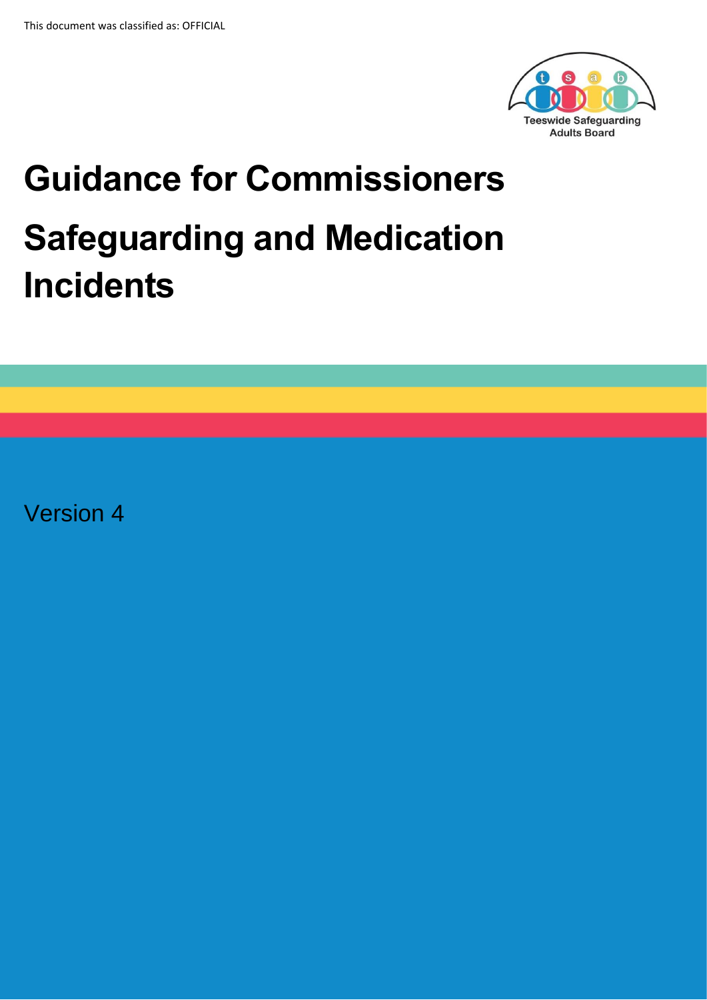

# **Guidance for Commissioners Safeguarding and Medication Incidents**

Version 4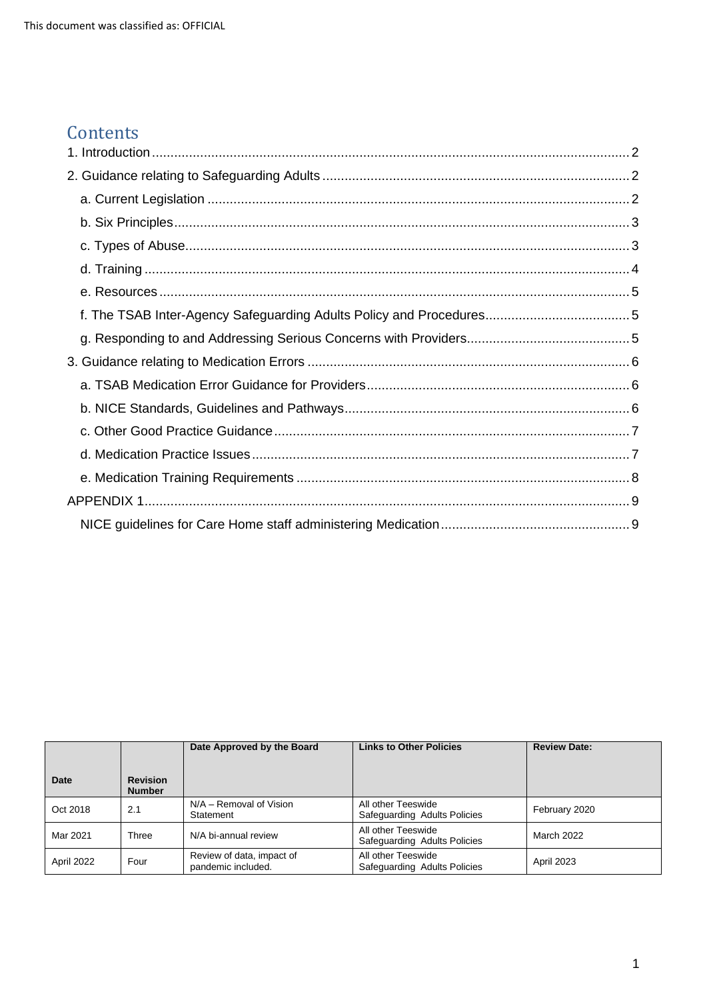# **Contents**

|            |                                  | Date Approved by the Board                      | <b>Links to Other Policies</b>                     | <b>Review Date:</b> |
|------------|----------------------------------|-------------------------------------------------|----------------------------------------------------|---------------------|
| Date       | <b>Revision</b><br><b>Number</b> |                                                 |                                                    |                     |
| Oct 2018   | 2.1                              | N/A – Removal of Vision<br>Statement            | All other Teeswide<br>Safeguarding Adults Policies | February 2020       |
| Mar 2021   | Three                            | N/A bi-annual review                            | All other Teeswide<br>Safeguarding Adults Policies | March 2022          |
| April 2022 | Four                             | Review of data, impact of<br>pandemic included. | All other Teeswide<br>Safeguarding Adults Policies | April 2023          |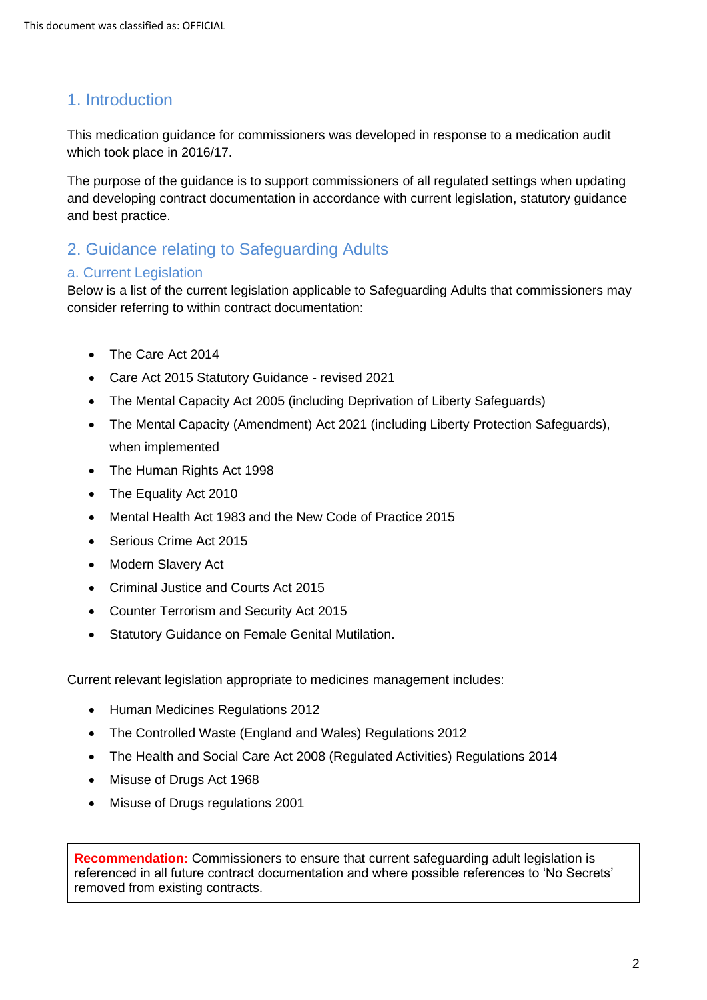### <span id="page-2-0"></span>1. Introduction

This medication guidance for commissioners was developed in response to a medication audit which took place in 2016/17.

The purpose of the guidance is to support commissioners of all regulated settings when updating and developing contract documentation in accordance with current legislation, statutory guidance and best practice.

#### <span id="page-2-1"></span>2. Guidance relating to Safeguarding Adults

#### <span id="page-2-2"></span>a. Current Legislation

Below is a list of the current legislation applicable to Safeguarding Adults that commissioners may consider referring to within contract documentation:

- The Care Act 2014
- Care Act 2015 Statutory Guidance revised 2021
- The Mental Capacity Act 2005 (including Deprivation of Liberty Safeguards)
- The Mental Capacity (Amendment) Act 2021 (including Liberty Protection Safeguards), when implemented
- The Human Rights Act 1998
- The Equality Act 2010
- Mental Health Act 1983 and the New Code of Practice 2015
- Serious Crime Act 2015
- Modern Slavery Act
- Criminal Justice and Courts Act 2015
- Counter Terrorism and Security Act 2015
- Statutory Guidance on Female Genital Mutilation.

Current relevant legislation appropriate to medicines management includes:

- Human Medicines Regulations 2012
- The Controlled Waste (England and Wales) Regulations 2012
- The Health and Social Care Act 2008 (Regulated Activities) Regulations 2014
- Misuse of Drugs Act 1968
- Misuse of Drugs regulations 2001

**Recommendation:** Commissioners to ensure that current safeguarding adult legislation is referenced in all future contract documentation and where possible references to 'No Secrets' removed from existing contracts.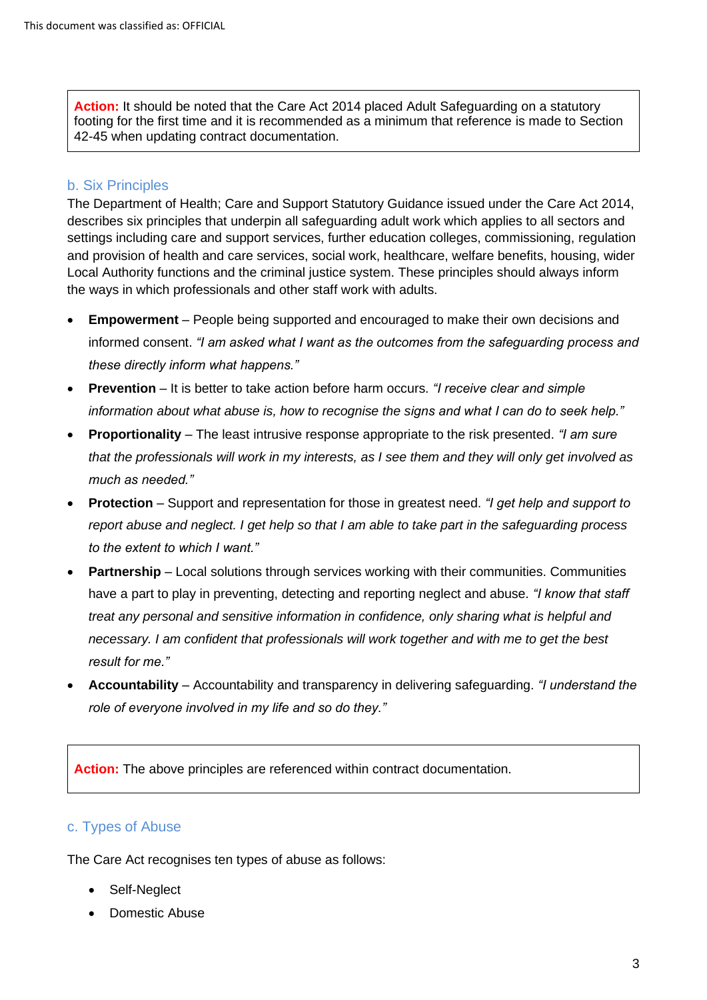**Action:** It should be noted that the Care Act 2014 placed Adult Safeguarding on a statutory footing for the first time and it is recommended as a minimum that reference is made to Section 42-45 when updating contract documentation.

#### <span id="page-3-0"></span>b. Six Principles

The Department of Health; Care and Support Statutory Guidance issued under the Care Act 2014, describes six principles that underpin all safeguarding adult work which applies to all sectors and settings including care and support services, further education colleges, commissioning, regulation and provision of health and care services, social work, healthcare, welfare benefits, housing, wider Local Authority functions and the criminal justice system. These principles should always inform the ways in which professionals and other staff work with adults.

- **Empowerment**  People being supported and encouraged to make their own decisions and informed consent. *"I am asked what I want as the outcomes from the safeguarding process and these directly inform what happens."*
- **Prevention**  It is better to take action before harm occurs. *"I receive clear and simple information about what abuse is, how to recognise the signs and what I can do to seek help."*
- **Proportionality**  The least intrusive response appropriate to the risk presented. *"I am sure that the professionals will work in my interests, as I see them and they will only get involved as much as needed."*
- **Protection**  Support and representation for those in greatest need. *"I get help and support to report abuse and neglect. I get help so that I am able to take part in the safeguarding process to the extent to which I want."*
- **Partnership**  Local solutions through services working with their communities. Communities have a part to play in preventing, detecting and reporting neglect and abuse. *"I know that staff treat any personal and sensitive information in confidence, only sharing what is helpful and necessary. I am confident that professionals will work together and with me to get the best result for me."*
- **Accountability**  Accountability and transparency in delivering safeguarding. *"I understand the role of everyone involved in my life and so do they."*

**Action:** The above principles are referenced within contract documentation.

#### <span id="page-3-1"></span>c. Types of Abuse

The Care Act recognises ten types of abuse as follows:

- Self-Neglect
- Domestic Abuse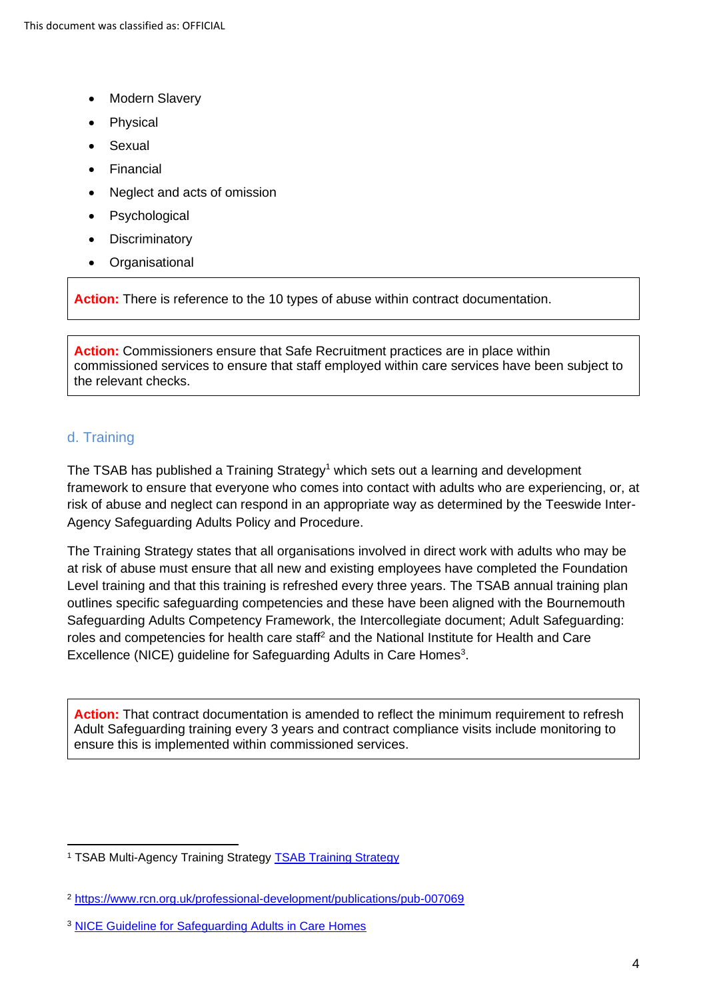- Modern Slavery
- **Physical**
- Sexual
- **Financial**
- Neglect and acts of omission
- Psychological
- **Discriminatory**
- Organisational

**Action:** There is reference to the 10 types of abuse within contract documentation.

**Action:** Commissioners ensure that Safe Recruitment practices are in place within commissioned services to ensure that staff employed within care services have been subject to the relevant checks.

#### <span id="page-4-0"></span>d. Training

The TSAB has published a Training Strategy<sup>1</sup> which sets out a learning and development framework to ensure that everyone who comes into contact with adults who are experiencing, or, at risk of abuse and neglect can respond in an appropriate way as determined by the Teeswide Inter-Agency Safeguarding Adults Policy and Procedure.

The Training Strategy states that all organisations involved in direct work with adults who may be at risk of abuse must ensure that all new and existing employees have completed the Foundation Level training and that this training is refreshed every three years. The TSAB annual training plan outlines specific safeguarding competencies and these have been aligned with the Bournemouth Safeguarding Adults Competency Framework, the Intercollegiate document; Adult Safeguarding: roles and competencies for health care staff<sup>2</sup> and the National Institute for Health and Care Excellence (NICE) guideline for Safeguarding Adults in Care Homes<sup>3</sup>.

**Action:** That contract documentation is amended to reflect the minimum requirement to refresh Adult Safeguarding training every 3 years and contract compliance visits include monitoring to ensure this is implemented within commissioned services.

<sup>&</sup>lt;sup>1</sup> TSAB Multi-Agency Training Strategy **TSAB Training Strategy** 

<sup>2</sup> <https://www.rcn.org.uk/professional-development/publications/pub-007069>

<sup>3</sup> [NICE Guideline for Safeguarding Adults in Care Homes](https://www.nice.org.uk/guidance/ng189/resources/safeguarding-adults-in-care-homes-pdf-66142030079941?msclkid=baff1e51a5cf11ecba281d2d2385e188)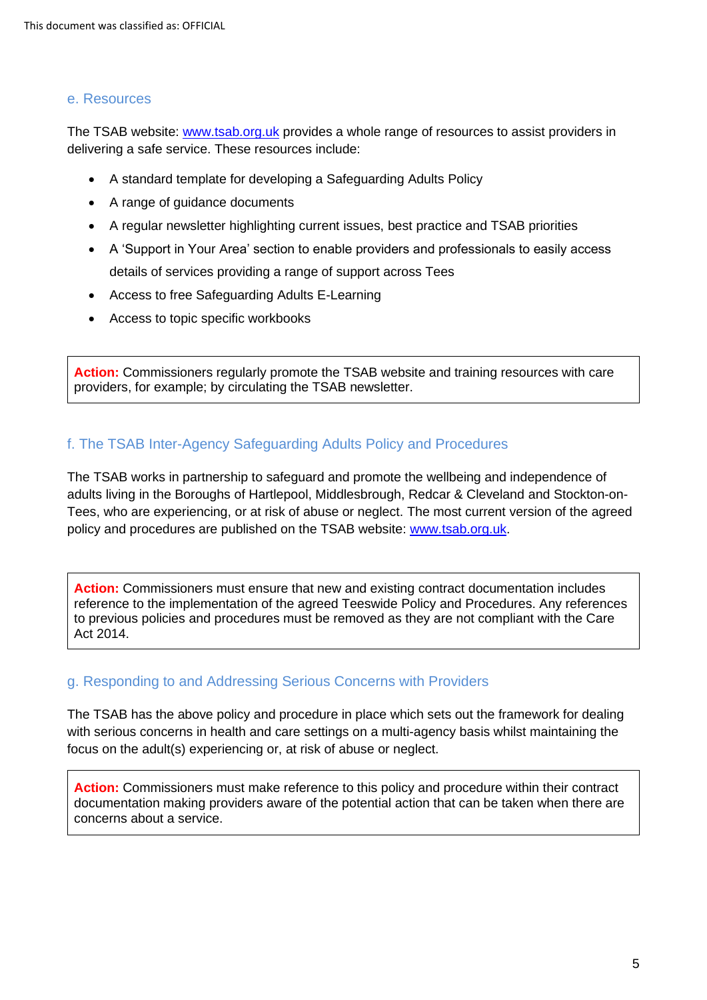#### <span id="page-5-0"></span>e. Resources

The TSAB website: [www.tsab.org.uk](http://www.tsab.org.uk/) provides a whole range of resources to assist providers in delivering a safe service. These resources include:

- A standard template for developing a Safeguarding Adults Policy
- A range of guidance documents
- A regular newsletter highlighting current issues, best practice and TSAB priorities
- A 'Support in Your Area' section to enable providers and professionals to easily access details of services providing a range of support across Tees
- Access to free Safeguarding Adults E-Learning
- Access to topic specific workbooks

**Action:** Commissioners regularly promote the TSAB website and training resources with care providers, for example; by circulating the TSAB newsletter.

#### <span id="page-5-1"></span>f. The TSAB Inter-Agency Safeguarding Adults Policy and Procedures

The TSAB works in partnership to safeguard and promote the wellbeing and independence of adults living in the Boroughs of Hartlepool, Middlesbrough, Redcar & Cleveland and Stockton-on-Tees, who are experiencing, or at risk of abuse or neglect. The most current version of the agreed policy and procedures are published on the TSAB website: [www.tsab.org.uk.](http://www.tsab.org.uk/)

**Action:** Commissioners must ensure that new and existing contract documentation includes reference to the implementation of the agreed Teeswide Policy and Procedures. Any references to previous policies and procedures must be removed as they are not compliant with the Care Act 2014.

#### <span id="page-5-2"></span>g. Responding to and Addressing Serious Concerns with Providers

The TSAB has the above policy and procedure in place which sets out the framework for dealing with serious concerns in health and care settings on a multi-agency basis whilst maintaining the focus on the adult(s) experiencing or, at risk of abuse or neglect.

<span id="page-5-3"></span>**Action:** Commissioners must make reference to this policy and procedure within their contract documentation making providers aware of the potential action that can be taken when there are concerns about a service.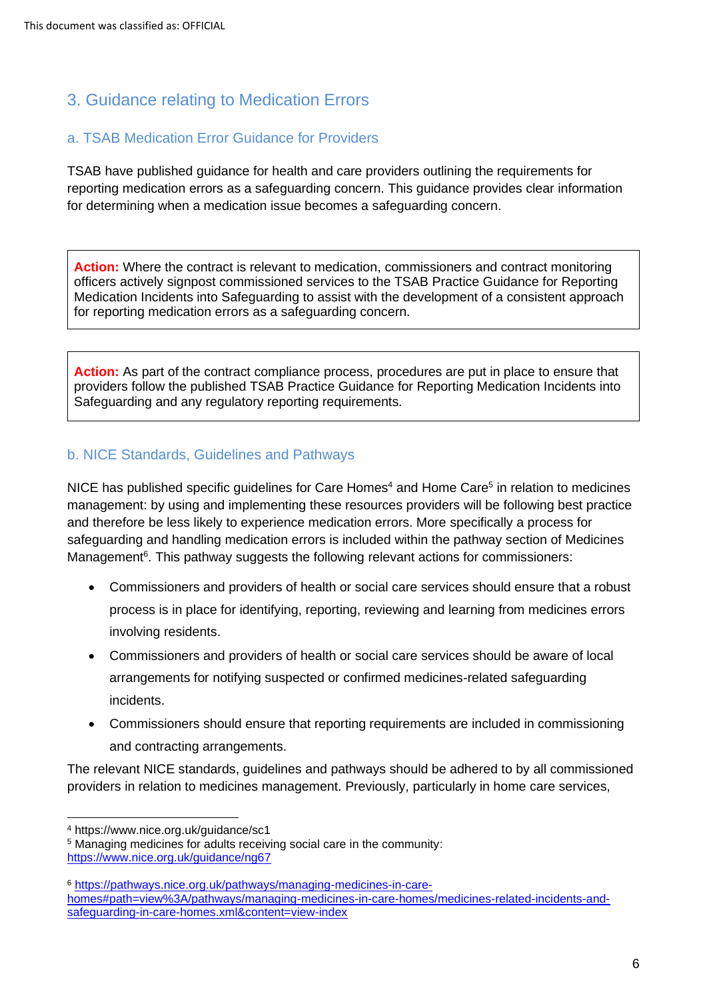## 3. Guidance relating to Medication Errors

#### <span id="page-6-0"></span>a. TSAB Medication Error Guidance for Providers

TSAB have published guidance for health and care providers outlining the requirements for reporting medication errors as a safeguarding concern. This guidance provides clear information for determining when a medication issue becomes a safeguarding concern.

**Action:** Where the contract is relevant to medication, commissioners and contract monitoring officers actively signpost commissioned services to the TSAB Practice Guidance for Reporting Medication Incidents into Safeguarding to assist with the development of a consistent approach for reporting medication errors as a safeguarding concern.

**Action:** As part of the contract compliance process, procedures are put in place to ensure that providers follow the published TSAB Practice Guidance for Reporting Medication Incidents into Safeguarding and any regulatory reporting requirements.

#### <span id="page-6-1"></span>b. NICE Standards, Guidelines and Pathways

NICE has published specific guidelines for Care Homes<sup>4</sup> and Home Care<sup>5</sup> in relation to medicines management: by using and implementing these resources providers will be following best practice and therefore be less likely to experience medication errors. More specifically a process for safeguarding and handling medication errors is included within the pathway section of Medicines Management<sup>6</sup>. This pathway suggests the following relevant actions for commissioners:

- Commissioners and providers of health or social care services should ensure that a robust process is in place for identifying, reporting, reviewing and learning from medicines errors involving residents.
- Commissioners and providers of health or social care services should be aware of local arrangements for notifying suspected or confirmed medicines-related safeguarding incidents.
- Commissioners should ensure that reporting requirements are included in commissioning and contracting arrangements.

The relevant NICE standards, guidelines and pathways should be adhered to by all commissioned providers in relation to medicines management. Previously, particularly in home care services,

<sup>4</sup> https://www.nice.org.uk/guidance/sc1

<sup>5</sup> Managing medicines for adults receiving social care in the community: <https://www.nice.org.uk/guidance/ng67>

<sup>6</sup> [https://pathways.nice.org.uk/pathways/managing-medicines-in-care](https://pathways.nice.org.uk/pathways/managing-medicines-in-care-homes#path=view%3A/pathways/managing-medicines-in-care-homes/medicines-related-incidents-and-safeguarding-in-care-homes.xml&content=view-index)[homes#path=view%3A/pathways/managing-medicines-in-care-homes/medicines-related-incidents-and](https://pathways.nice.org.uk/pathways/managing-medicines-in-care-homes#path=view%3A/pathways/managing-medicines-in-care-homes/medicines-related-incidents-and-safeguarding-in-care-homes.xml&content=view-index)[safeguarding-in-care-homes.xml&content=view-index](https://pathways.nice.org.uk/pathways/managing-medicines-in-care-homes#path=view%3A/pathways/managing-medicines-in-care-homes/medicines-related-incidents-and-safeguarding-in-care-homes.xml&content=view-index)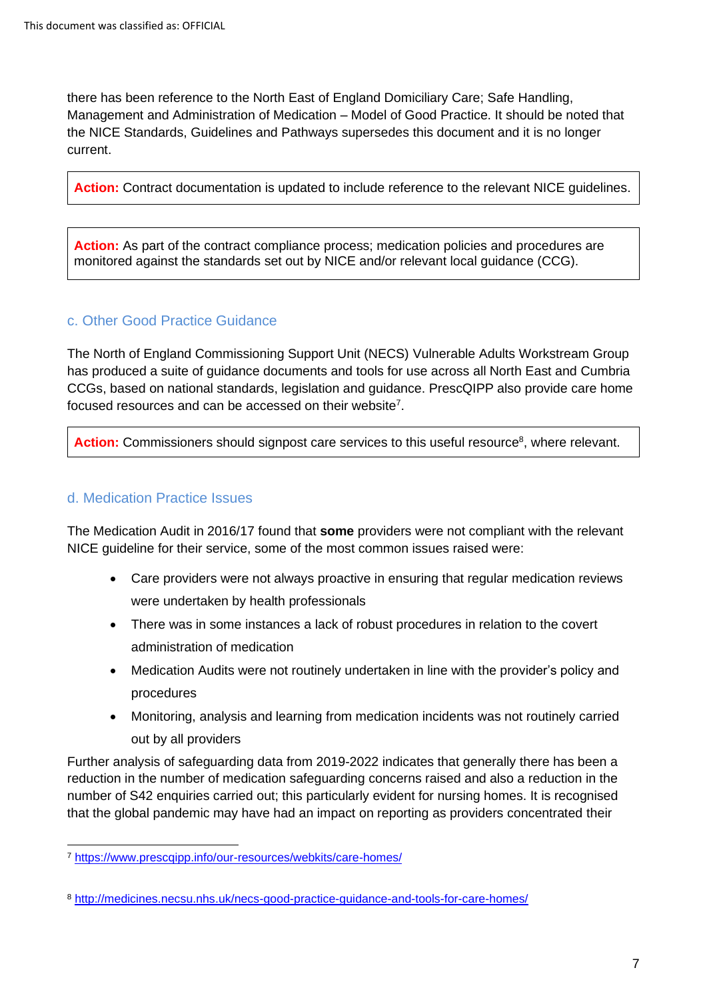there has been reference to the North East of England Domiciliary Care; Safe Handling, Management and Administration of Medication – Model of Good Practice. It should be noted that the NICE Standards, Guidelines and Pathways supersedes this document and it is no longer current.

**Action:** Contract documentation is updated to include reference to the relevant NICE guidelines.

**Action:** As part of the contract compliance process; medication policies and procedures are monitored against the standards set out by NICE and/or relevant local guidance (CCG).

#### <span id="page-7-0"></span>c. Other Good Practice Guidance

The North of England Commissioning Support Unit (NECS) Vulnerable Adults Workstream Group has produced a suite of guidance documents and tools for use across all North East and Cumbria CCGs, based on national standards, legislation and guidance. PrescQIPP also provide care home focused resources and can be accessed on their website<sup>7</sup>.

Action: Commissioners should signpost care services to this useful resource<sup>8</sup>, where relevant.

#### <span id="page-7-1"></span>d. Medication Practice Issues

The Medication Audit in 2016/17 found that **some** providers were not compliant with the relevant NICE guideline for their service, some of the most common issues raised were:

- Care providers were not always proactive in ensuring that regular medication reviews were undertaken by health professionals
- There was in some instances a lack of robust procedures in relation to the covert administration of medication
- Medication Audits were not routinely undertaken in line with the provider's policy and procedures
- Monitoring, analysis and learning from medication incidents was not routinely carried out by all providers

Further analysis of safeguarding data from 2019-2022 indicates that generally there has been a reduction in the number of medication safeguarding concerns raised and also a reduction in the number of S42 enquiries carried out; this particularly evident for nursing homes. It is recognised that the global pandemic may have had an impact on reporting as providers concentrated their

<sup>7</sup> <https://www.prescqipp.info/our-resources/webkits/care-homes/>

<sup>8</sup> <http://medicines.necsu.nhs.uk/necs-good-practice-guidance-and-tools-for-care-homes/>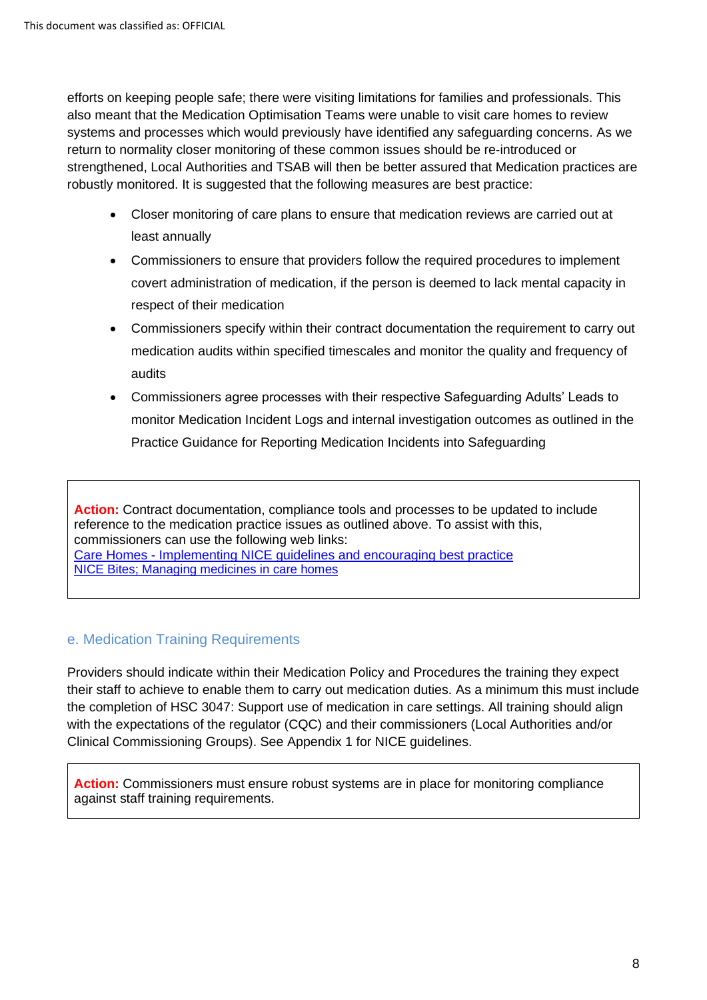efforts on keeping people safe; there were visiting limitations for families and professionals. This also meant that the Medication Optimisation Teams were unable to visit care homes to review systems and processes which would previously have identified any safeguarding concerns. As we return to normality closer monitoring of these common issues should be re-introduced or strengthened, Local Authorities and TSAB will then be better assured that Medication practices are robustly monitored. It is suggested that the following measures are best practice:

- Closer monitoring of care plans to ensure that medication reviews are carried out at least annually
- Commissioners to ensure that providers follow the required procedures to implement covert administration of medication, if the person is deemed to lack mental capacity in respect of their medication
- Commissioners specify within their contract documentation the requirement to carry out medication audits within specified timescales and monitor the quality and frequency of audits
- Commissioners agree processes with their respective Safeguarding Adults' Leads to monitor Medication Incident Logs and internal investigation outcomes as outlined in the Practice Guidance for Reporting Medication Incidents into Safeguarding

**Action:** Contract documentation, compliance tools and processes to be updated to include reference to the medication practice issues as outlined above. To assist with this, commissioners can use the following web links: Care Homes - [Implementing NICE guidelines and encouraging best practice](https://www.prescqipp.info/umbraco/surface/authorisedmediasurface/index?url=%2fmedia%2f1204%2fb173-care-homes-implementing-nice-guidance-20.pdf) [NICE Bites; Managing medicines in care homes](https://www.elmmb.nhs.uk/_resources/assets/attachment/full/0/5659.pdf)

#### <span id="page-8-0"></span>e. Medication Training Requirements

Providers should indicate within their Medication Policy and Procedures the training they expect their staff to achieve to enable them to carry out medication duties. As a minimum this must include the completion of HSC 3047: Support use of medication in care settings. All training should align with the expectations of the regulator (CQC) and their commissioners (Local Authorities and/or Clinical Commissioning Groups). See Appendix 1 for NICE guidelines.

**Action:** Commissioners must ensure robust systems are in place for monitoring compliance against staff training requirements.